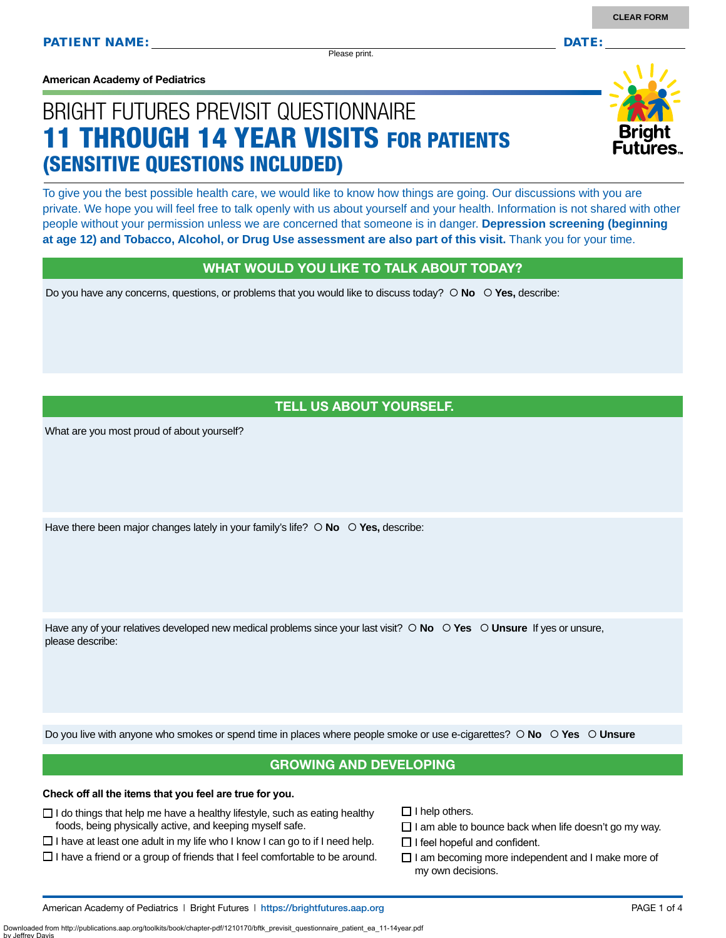**American Academy of Pediatrics**

# BRIGHT FUTURES PREVISIT QUESTIONNAIRE 11 THROUGH 14 YEAR VISITS FOR PATIENTS (SENSITIVE QUESTIONS INCLUDED)

To give you the best possible health care, we would like to know how things are going. Our discussions with you are private. We hope you will feel free to talk openly with us about yourself and your health. Information is not shared with other

## WHAT WOULD YOU LIKE TO TALK ABOUT TODAY?

people without your permission unless we are concerned that someone is in danger. **Depression screening (beginning at age 12) and Tobacco, Alcohol, or Drug Use assessment are also part of this visit.** Thank you for your time.

Do you have any concerns, questions, or problems that you would like to discuss today?  $\circ$  **No**  $\circ$  **Yes**, describe:

## TELL US ABOUT YOURSELF.

What are you most proud of about yourself?

Have there been major changes lately in your family's life?  $\circ$  **No**  $\circ$  **Yes**, describe:

Have any of your relatives developed new medical problems since your last visit?  $\circ$  **No**  $\circ$  **Yes**  $\circ$  **Unsure** If yes or unsure, please describe:

Do you live with anyone who smokes or spend time in places where people smoke or use e-cigarettes?  **No Yes Unsure**

## GROWING AND DEVELOPING

#### **Check off all the items that you feel are true for you.**

by Jeffrey Davis

- $\Box$  I do things that help me have a healthy lifestyle, such as eating healthy foods, being physically active, and keeping myself safe.
- $\square$  I have at least one adult in my life who I know I can go to if I need help.
- $\Box$  I have a friend or a group of friends that I feel comfortable to be around.
- $\Box$  I help others.
- $\square$  I am able to bounce back when life doesn't go my way.
- $\Box$  I feel hopeful and confident.
- $\Box$  I am becoming more independent and I make more of my own decisions.

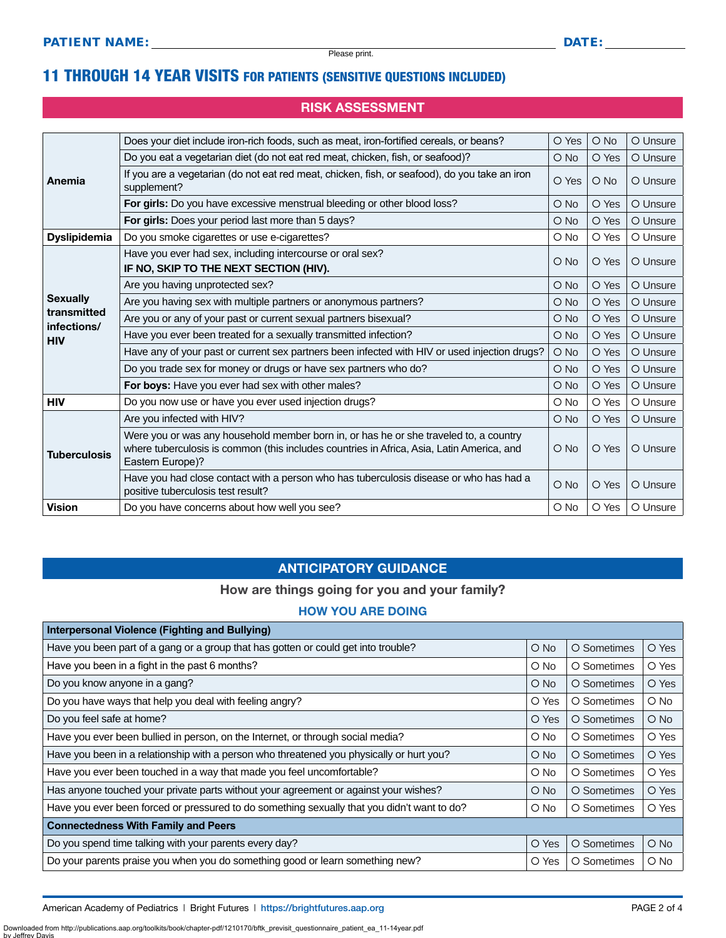## 11 THROUGH 14 YEAR VISITS FOR PATIENTS (SENSITIVE QUESTIONS INCLUDED)

## RISK ASSESSMENT

|                            | Does your diet include iron-rich foods, such as meat, iron-fortified cereals, or beans?                                                                                                                | O Yes         | $O$ No | O Unsure |
|----------------------------|--------------------------------------------------------------------------------------------------------------------------------------------------------------------------------------------------------|---------------|--------|----------|
| Anemia                     | Do you eat a vegetarian diet (do not eat red meat, chicken, fish, or seafood)?                                                                                                                         | $\bigcirc$ No | O Yes  | O Unsure |
|                            | If you are a vegetarian (do not eat red meat, chicken, fish, or seafood), do you take an iron<br>supplement?                                                                                           | O Yes         | $O$ No | O Unsure |
|                            | For girls: Do you have excessive menstrual bleeding or other blood loss?                                                                                                                               | $O$ No        | O Yes  | O Unsure |
|                            | For girls: Does your period last more than 5 days?                                                                                                                                                     | $\bigcirc$ No | O Yes  | O Unsure |
| <b>Dyslipidemia</b>        | Do you smoke cigarettes or use e-cigarettes?                                                                                                                                                           | O No          | O Yes  | O Unsure |
|                            | Have you ever had sex, including intercourse or oral sex?<br>IF NO, SKIP TO THE NEXT SECTION (HIV).                                                                                                    | $O$ No        | O Yes  | O Unsure |
|                            | Are you having unprotected sex?                                                                                                                                                                        | $\bigcirc$ No | O Yes  | O Unsure |
| <b>Sexually</b>            | Are you having sex with multiple partners or anonymous partners?                                                                                                                                       | $O$ No        | O Yes  | O Unsure |
| transmitted<br>infections/ | Are you or any of your past or current sexual partners bisexual?                                                                                                                                       | $O$ No        | O Yes  | O Unsure |
| <b>HIV</b>                 | Have you ever been treated for a sexually transmitted infection?                                                                                                                                       | O No          | O Yes  | O Unsure |
|                            | Have any of your past or current sex partners been infected with HIV or used injection drugs?                                                                                                          | $O$ No        | O Yes  | O Unsure |
|                            | Do you trade sex for money or drugs or have sex partners who do?                                                                                                                                       | $O$ No        | O Yes  | O Unsure |
|                            | For boys: Have you ever had sex with other males?                                                                                                                                                      | $O$ No        | O Yes  | O Unsure |
| <b>HIV</b>                 | Do you now use or have you ever used injection drugs?                                                                                                                                                  | O No          | O Yes  | O Unsure |
|                            | Are you infected with HIV?                                                                                                                                                                             | O No          | O Yes  | O Unsure |
| <b>Tuberculosis</b>        | Were you or was any household member born in, or has he or she traveled to, a country<br>where tuberculosis is common (this includes countries in Africa, Asia, Latin America, and<br>Eastern Europe)? | $O$ No        | O Yes  | O Unsure |
|                            | Have you had close contact with a person who has tuberculosis disease or who has had a<br>positive tuberculosis test result?                                                                           | O No          | O Yes  | O Unsure |
| <b>Vision</b>              | Do you have concerns about how well you see?                                                                                                                                                           | O No          | O Yes  | O Unsure |

## ANTICIPATORY GUIDANCE

### How are things going for you and your family?

### HOW YOU ARE DOING

| <b>Interpersonal Violence (Fighting and Bullying)</b>                                       |               |             |        |
|---------------------------------------------------------------------------------------------|---------------|-------------|--------|
| Have you been part of a gang or a group that has gotten or could get into trouble?          | $\bigcirc$ No | O Sometimes | O Yes  |
| Have you been in a fight in the past 6 months?                                              | $\circ$ No    | O Sometimes | O Yes  |
| Do you know anyone in a gang?                                                               | $\bigcirc$ No | O Sometimes | O Yes  |
| Do you have ways that help you deal with feeling angry?                                     | O Yes         | O Sometimes | O No   |
| Do you feel safe at home?                                                                   | O Yes         | O Sometimes | $O$ No |
| Have you ever been bullied in person, on the Internet, or through social media?             | $\circ$ No    | O Sometimes | O Yes  |
| Have you been in a relationship with a person who threatened you physically or hurt you?    | $\bigcirc$ No | O Sometimes | O Yes  |
| Have you ever been touched in a way that made you feel uncomfortable?                       | $\circ$ No    | O Sometimes | O Yes  |
| Has anyone touched your private parts without your agreement or against your wishes?        | $\bigcirc$ No | O Sometimes | O Yes  |
| Have you ever been forced or pressured to do something sexually that you didn't want to do? | $\circ$ No    | O Sometimes | O Yes  |
| <b>Connectedness With Family and Peers</b>                                                  |               |             |        |
| Do you spend time talking with your parents every day?                                      | O Yes         | O Sometimes | $O$ No |
| Do your parents praise you when you do something good or learn something new?               | O Yes         | O Sometimes | O No   |

American Academy of Pediatrics | Bright Futures | https:/[/brightfutures.aap.org](https://brightfutures.aap.org/Pages/default.aspx) | Namerican Academy of PAGE 2 of 4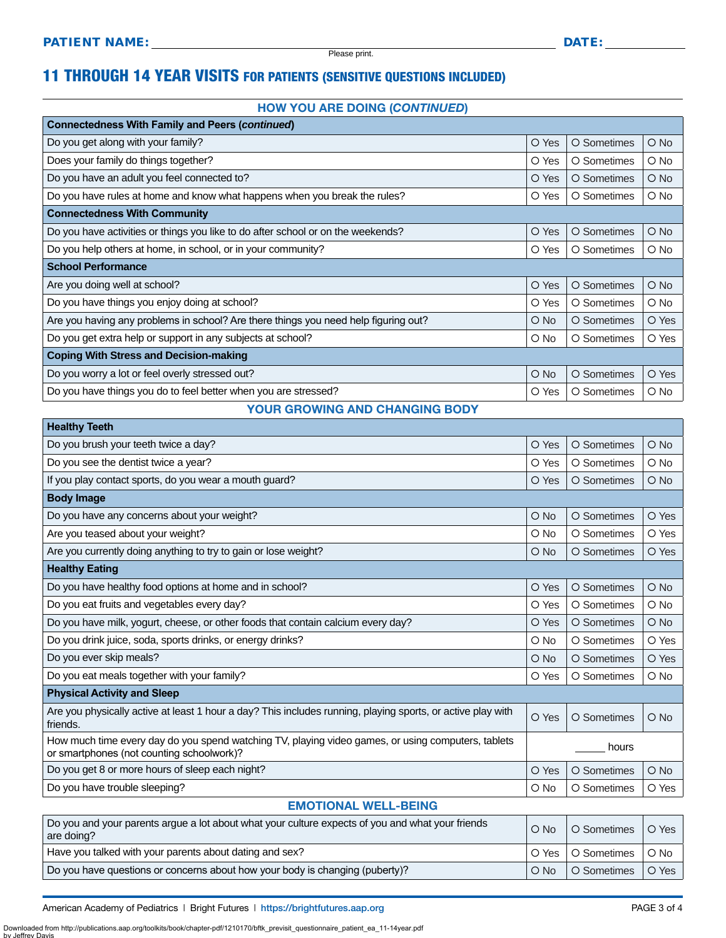## 11 THROUGH 14 YEAR VISITS FOR PATIENTS (SENSITIVE QUESTIONS INCLUDED)

#### HOW YOU ARE DOING (*CONTINUED*)

| <b>Connectedness With Family and Peers (continued)</b>                              |               |             |               |
|-------------------------------------------------------------------------------------|---------------|-------------|---------------|
| Do you get along with your family?                                                  | O Yes         | O Sometimes | $\bigcirc$ No |
| Does your family do things together?                                                | O Yes         | O Sometimes | O No          |
| Do you have an adult you feel connected to?                                         | O Yes         | O Sometimes | $\bigcirc$ No |
| Do you have rules at home and know what happens when you break the rules?           | O Yes         | O Sometimes | $\circ$ No    |
| <b>Connectedness With Community</b>                                                 |               |             |               |
| Do you have activities or things you like to do after school or on the weekends?    | O Yes         | O Sometimes | $\bigcirc$ No |
| Do you help others at home, in school, or in your community?                        | O Yes         | O Sometimes | $\circ$ No    |
| <b>School Performance</b>                                                           |               |             |               |
| Are you doing well at school?                                                       | O Yes         | O Sometimes | $\bigcirc$ No |
| Do you have things you enjoy doing at school?                                       | O Yes         | O Sometimes | $\circ$ No    |
| Are you having any problems in school? Are there things you need help figuring out? | $\bigcirc$ No | O Sometimes | O Yes         |
| Do you get extra help or support in any subjects at school?                         | $\circ$ No    | O Sometimes | O Yes         |
| <b>Coping With Stress and Decision-making</b>                                       |               |             |               |
| Do you worry a lot or feel overly stressed out?                                     | $O$ No        | O Sometimes | O Yes         |
| Do you have things you do to feel better when you are stressed?                     | O Yes         | O Sometimes | O No          |
|                                                                                     |               |             |               |

### YOUR GROWING AND CHANGING BODY

| <b>Healthy Teeth</b>                                                                                                                            |              |             |               |  |
|-------------------------------------------------------------------------------------------------------------------------------------------------|--------------|-------------|---------------|--|
| Do you brush your teeth twice a day?                                                                                                            | O Yes        | O Sometimes | $\bigcirc$ No |  |
| Do you see the dentist twice a year?                                                                                                            | O Yes        | O Sometimes | O No          |  |
| If you play contact sports, do you wear a mouth guard?                                                                                          | O Yes        | O Sometimes | $O$ No        |  |
| <b>Body Image</b>                                                                                                                               |              |             |               |  |
| Do you have any concerns about your weight?                                                                                                     | O No         | O Sometimes | O Yes         |  |
| Are you teased about your weight?                                                                                                               | O No         | O Sometimes | O Yes         |  |
| Are you currently doing anything to try to gain or lose weight?                                                                                 | O No         | O Sometimes | O Yes         |  |
| <b>Healthy Eating</b>                                                                                                                           |              |             |               |  |
| Do you have healthy food options at home and in school?                                                                                         | O Yes        | O Sometimes | $\bigcirc$ No |  |
| Do you eat fruits and vegetables every day?                                                                                                     | O Yes        | O Sometimes | O No          |  |
| Do you have milk, yogurt, cheese, or other foods that contain calcium every day?                                                                | O Yes        | O Sometimes | $O$ No        |  |
| Do you drink juice, soda, sports drinks, or energy drinks?                                                                                      | O No         | O Sometimes | O Yes         |  |
| Do you ever skip meals?                                                                                                                         | O No         | O Sometimes | O Yes         |  |
| Do you eat meals together with your family?                                                                                                     | O Yes        | O Sometimes | O No          |  |
| <b>Physical Activity and Sleep</b>                                                                                                              |              |             |               |  |
| Are you physically active at least 1 hour a day? This includes running, playing sports, or active play with<br>friends.                         | O Yes        | O Sometimes | $O$ No        |  |
| How much time every day do you spend watching TV, playing video games, or using computers, tablets<br>or smartphones (not counting schoolwork)? | hours        |             |               |  |
| Do you get 8 or more hours of sleep each night?                                                                                                 | O Yes        | O Sometimes | O No          |  |
| Do you have trouble sleeping?                                                                                                                   | O No         | O Sometimes | O Yes         |  |
| <b>EMOTIONAL WELL-BEING</b>                                                                                                                     |              |             |               |  |
| Do you and your parents argue a lot about what your culture expects of you and what your friends                                                | $\bigcap$ No | O Sometimes | $O$ Yes       |  |

| Do you and your paromo argue a lot about milat your callar o oxpocto or you and milat your mondo<br>are doing? | $O$ No     | O Sometimes         | O Yes         |
|----------------------------------------------------------------------------------------------------------------|------------|---------------------|---------------|
| Have you talked with your parents about dating and sex?                                                        |            | O Yes   O Sometimes | $\bigcirc$ No |
| Do you have questions or concerns about how your body is changing (puberty)?                                   | $\circ$ No | O Sometimes         | O Yes         |

American Academy of Pediatrics | Bright Futures | https:/[/brightfutures.aap.org](https://brightfutures.aap.org/Pages/default.aspx) | Namerican Academy of PAGE 3 of 4